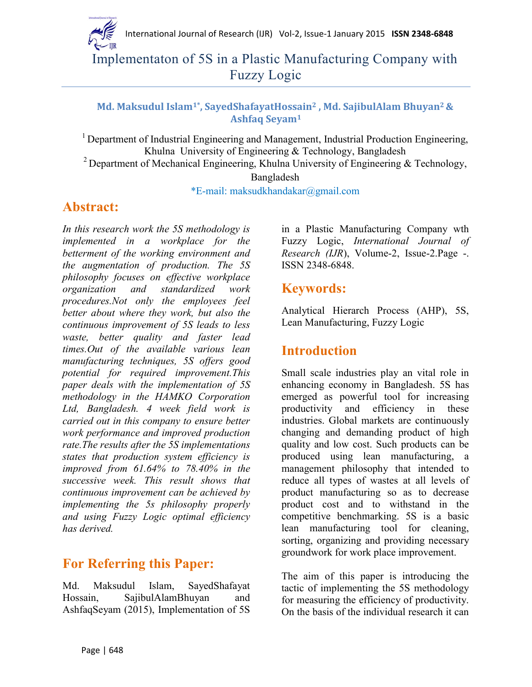

Implementaton of 5S in a Plastic Manufacturing Company with Fuzzy Logic

## **Md. Maksudul Islam1\* , SayedShafayatHossain<sup>2</sup> , Md. SajibulAlam Bhuyan2 & Ashfaq Seyam<sup>1</sup>**

<sup>1</sup> Department of Industrial Engineering and Management, Industrial Production Engineering, Khulna University of Engineering & Technology, Bangladesh <sup>2</sup> Department of Mechanical Engineering, Khulna University of Engineering  $\&$  Technology,

Bangladesh

\*E-mail: maksudkhandakar@gmail.com

# **Abstract:**

*In this research work the 5S methodology is implemented in a workplace for the betterment of the working environment and the augmentation of production. The 5S philosophy focuses on effective workplace organization and standardized work procedures.Not only the employees feel better about where they work, but also the continuous improvement of 5S leads to less waste, better quality and faster lead times.Out of the available various lean manufacturing techniques, 5S offers good potential for required improvement.This paper deals with the implementation of 5S methodology in the HAMKO Corporation Ltd, Bangladesh. 4 week field work is carried out in this company to ensure better work performance and improved production rate.The results after the 5S implementations states that production system efficiency is improved from 61.64% to 78.40% in the successive week. This result shows that continuous improvement can be achieved by implementing the 5s philosophy properly and using Fuzzy Logic optimal efficiency has derived.*

# **For Referring this Paper:**

Md. Maksudul Islam, SayedShafayat Hossain, SajibulAlamBhuyan and AshfaqSeyam (2015), Implementation of 5S in a Plastic Manufacturing Company wth Fuzzy Logic, *International Journal of Research (IJR*), Volume-2, Issue-2.Page -. ISSN 2348-6848.

# **Keywords:**

Analytical Hierarch Process (AHP), 5S, Lean Manufacturing, Fuzzy Logic

# **Introduction**

Small scale industries play an vital role in enhancing economy in Bangladesh. 5S has emerged as powerful tool for increasing productivity and efficiency in these industries. Global markets are continuously changing and demanding product of high quality and low cost. Such products can be produced using lean manufacturing, a management philosophy that intended to reduce all types of wastes at all levels of product manufacturing so as to decrease product cost and to withstand in the competitive benchmarking. 5S is a basic lean manufacturing tool for cleaning, sorting, organizing and providing necessary groundwork for work place improvement.

The aim of this paper is introducing the tactic of implementing the 5S methodology for measuring the efficiency of productivity. On the basis of the individual research it can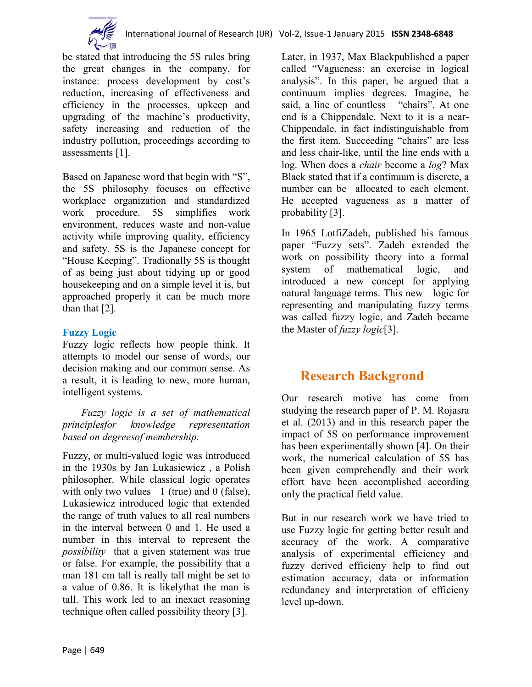

be stated that introducing the 5S rules bring the great changes in the company, for instance: process development by cost's reduction, increasing of effectiveness and efficiency in the processes, upkeep and upgrading of the machine's productivity, safety increasing and reduction of the industry pollution, proceedings according to assessments [1].

Based on Japanese word that begin with "S", the 5S philosophy focuses on effective workplace organization and standardized work procedure. 5S simplifies work environment, reduces waste and non-value activity while improving quality, efficiency and safety. 5S is the Japanese concept for "House Keeping". Tradionally 5S is thought of as being just about tidying up or good housekeeping and on a simple level it is, but approached properly it can be much more than that [2].

## **Fuzzy Logic**

Fuzzy logic reflects how people think. It attempts to model our sense of words, our decision making and our common sense. As a result, it is leading to new, more human, intelligent systems.

*Fuzzy logic is a set of mathematical principlesfor knowledge representation based on degreesof membership.*

Fuzzy, or multi-valued logic was introduced in the 1930s by Jan Lukasiewicz , a Polish philosopher. While classical logic operates with only two values  $1$  (true) and 0 (false), Lukasiewicz introduced logic that extended the range of truth values to all real numbers in the interval between 0 and 1. He used a number in this interval to represent the *possibility* that a given statement was true or false. For example, the possibility that a man 181 cm tall is really tall might be set to a value of 0.86. It is likelythat the man is tall. This work led to an inexact reasoning technique often called possibility theory [3].

Later, in 1937, Max Blackpublished a paper called "Vagueness: an exercise in logical analysis". In this paper, he argued that a continuum implies degrees. Imagine, he said, a line of countless "chairs". At one end is a Chippendale. Next to it is a near-Chippendale, in fact indistinguishable from the first item. Succeeding "chairs" are less and less chair-like, until the line ends with a log. When does a *chair* become a *log*? Max Black stated that if a continuum is discrete, a number can be allocated to each element. He accepted vagueness as a matter of probability [3].

In 1965 LotfiZadeh, published his famous paper "Fuzzy sets". Zadeh extended the work on possibility theory into a formal system of mathematical logic, and introduced a new concept for applying natural language terms. This new logic for representing and manipulating fuzzy terms was called fuzzy logic, and Zadeh became the Master of *fuzzy logic*[3].

# **Research Backgrond**

Our research motive has come from studying the research paper of P. M. Rojasra et al. (2013) and in this research paper the impact of 5S on performance improvement has been experimentally shown [4]. On their work, the numerical calculation of 5S has been given comprehendly and their work effort have been accomplished according only the practical field value.

But in our research work we have tried to use Fuzzy logic for getting better result and accuracy of the work. A comparative analysis of experimental efficiency and fuzzy derived efficieny help to find out estimation accuracy, data or information redundancy and interpretation of efficieny level up-down.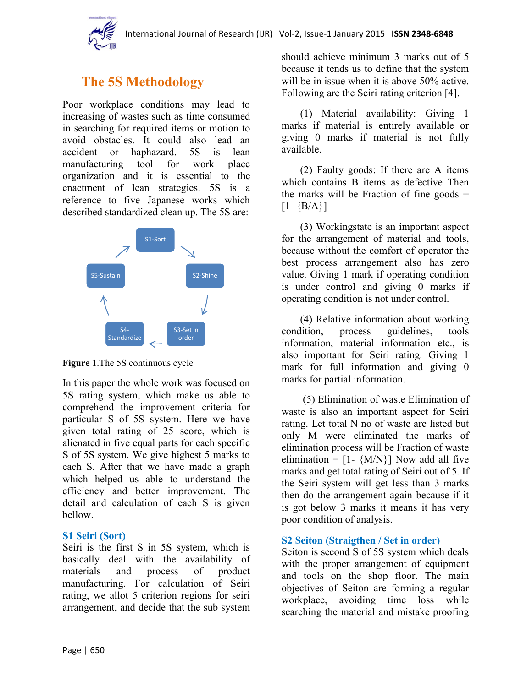

# **The 5S Methodology**

Poor workplace conditions may lead to increasing of wastes such as time consumed in searching for required items or motion to avoid obstacles. It could also lead an accident or haphazard. 5S is lean manufacturing tool for work place organization and it is essential to the enactment of lean strategies. 5S is a reference to five Japanese works which described standardized clean up. The 5S are:



**Figure 1**.The 5S continuous cycle

In this paper the whole work was focused on 5S rating system, which make us able to comprehend the improvement criteria for particular S of 5S system. Here we have given total rating of 25 score, which is alienated in five equal parts for each specific S of 5S system. We give highest 5 marks to each S. After that we have made a graph which helped us able to understand the efficiency and better improvement. The detail and calculation of each S is given bellow.

#### **S1 Seiri (Sort)**

Seiri is the first S in 5S system, which is basically deal with the availability of materials and process of product manufacturing. For calculation of Seiri rating, we allot 5 criterion regions for seiri arrangement, and decide that the sub system

should achieve minimum 3 marks out of 5 because it tends us to define that the system will be in issue when it is above 50% active. Following are the Seiri rating criterion [4].

(1) Material availability: Giving 1 marks if material is entirely available or giving 0 marks if material is not fully available.

(2) Faulty goods: If there are A items which contains B items as defective Then the marks will be Fraction of fine goods  $=$  $[1 - {B/A}]$ 

(3) Workingstate is an important aspect for the arrangement of material and tools, because without the comfort of operator the best process arrangement also has zero value. Giving 1 mark if operating condition is under control and giving 0 marks if operating condition is not under control.

(4) Relative information about working condition, process guidelines, tools information, material information etc., is also important for Seiri rating. Giving 1 mark for full information and giving 0 marks for partial information.

(5) Elimination of waste Elimination of waste is also an important aspect for Seiri rating. Let total N no of waste are listed but only M were eliminated the marks of elimination process will be Fraction of waste elimination =  $[1 - {M/N}]$  Now add all five marks and get total rating of Seiri out of 5. If the Seiri system will get less than 3 marks then do the arrangement again because if it is got below 3 marks it means it has very poor condition of analysis.

#### **S2 Seiton (Straigthen / Set in order)**

Seiton is second S of 5S system which deals with the proper arrangement of equipment and tools on the shop floor. The main objectives of Seiton are forming a regular workplace, avoiding time loss while searching the material and mistake proofing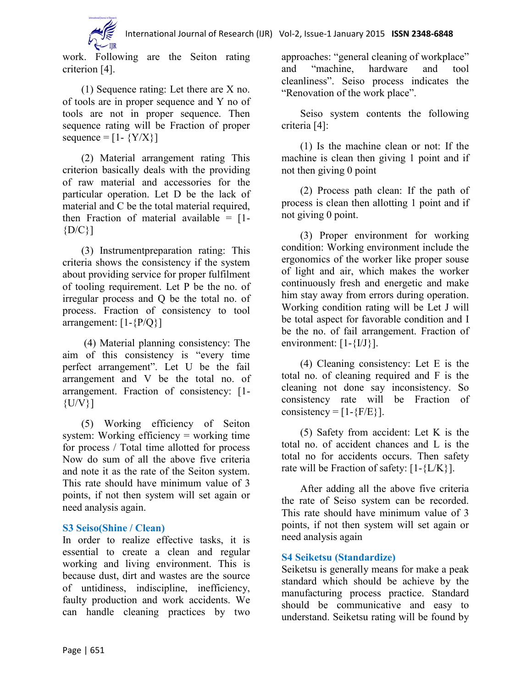

work. Following are the Seiton rating criterion [4].

(1) Sequence rating: Let there are X no. of tools are in proper sequence and Y no of tools are not in proper sequence. Then sequence rating will be Fraction of proper sequence =  $[1 - \{Y/X\}]$ 

(2) Material arrangement rating This criterion basically deals with the providing of raw material and accessories for the particular operation. Let D be the lack of material and C be the total material required. then Fraction of material available  $=$  [1- ${D/C}$ ]

(3) Instrumentpreparation rating: This criteria shows the consistency if the system about providing service for proper fulfilment of tooling requirement. Let P be the no. of irregular process and Q be the total no. of process. Fraction of consistency to tool arrangement:  $[1-\{P/Q\}]$ 

(4) Material planning consistency: The aim of this consistency is "every time perfect arrangement". Let U be the fail arrangement and V be the total no. of arrangement. Fraction of consistency: [1-  $\{U/V\}$ ]

(5) Working efficiency of Seiton system: Working efficiency = working time for process / Total time allotted for process Now do sum of all the above five criteria and note it as the rate of the Seiton system. This rate should have minimum value of 3 points, if not then system will set again or need analysis again.

## **S3 Seiso(Shine / Clean)**

In order to realize effective tasks, it is essential to create a clean and regular working and living environment. This is because dust, dirt and wastes are the source of untidiness, indiscipline, inefficiency, faulty production and work accidents. We can handle cleaning practices by two

approaches: "general cleaning of workplace" and "machine, hardware and tool cleanliness". Seiso process indicates the "Renovation of the work place".

Seiso system contents the following criteria [4]:

(1) Is the machine clean or not: If the machine is clean then giving 1 point and if not then giving 0 point

(2) Process path clean: If the path of process is clean then allotting 1 point and if not giving 0 point.

(3) Proper environment for working condition: Working environment include the ergonomics of the worker like proper souse of light and air, which makes the worker continuously fresh and energetic and make him stay away from errors during operation. Working condition rating will be Let J will be total aspect for favorable condition and I be the no. of fail arrangement. Fraction of environment:  $[1-\{I/J\}]$ .

(4) Cleaning consistency: Let E is the total no. of cleaning required and F is the cleaning not done say inconsistency. So consistency rate will be Fraction of consistency =  $[1-\{F/E\}].$ 

(5) Safety from accident: Let K is the total no. of accident chances and L is the total no for accidents occurs. Then safety rate will be Fraction of safety:  $[1-\{L/K\}]$ .

After adding all the above five criteria the rate of Seiso system can be recorded. This rate should have minimum value of 3 points, if not then system will set again or need analysis again

## **S4 Seiketsu (Standardize)**

Seiketsu is generally means for make a peak standard which should be achieve by the manufacturing process practice. Standard should be communicative and easy to understand. Seiketsu rating will be found by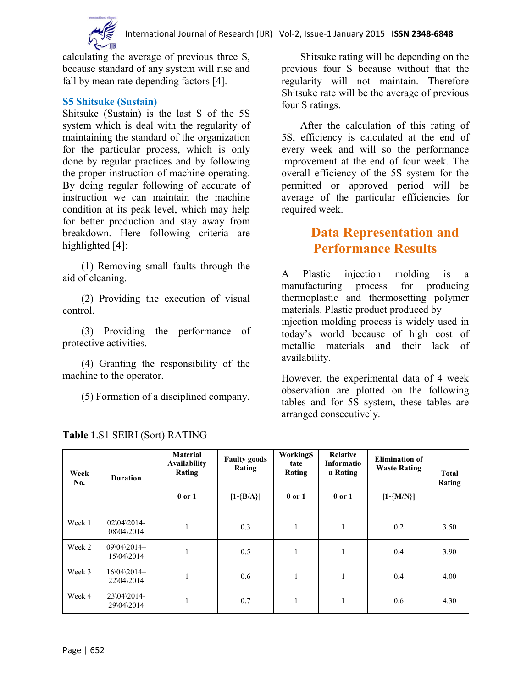

calculating the average of previous three S, because standard of any system will rise and fall by mean rate depending factors [4].

#### **S5 Shitsuke (Sustain)**

Shitsuke (Sustain) is the last S of the 5S system which is deal with the regularity of maintaining the standard of the organization for the particular process, which is only done by regular practices and by following the proper instruction of machine operating. By doing regular following of accurate of instruction we can maintain the machine condition at its peak level, which may help for better production and stay away from breakdown. Here following criteria are highlighted [4]:

(1) Removing small faults through the aid of cleaning.

(2) Providing the execution of visual control.

(3) Providing the performance of protective activities.

(4) Granting the responsibility of the machine to the operator.

(5) Formation of a disciplined company.

Shitsuke rating will be depending on the previous four S because without that the regularity will not maintain. Therefore Shitsuke rate will be the average of previous four S ratings.

After the calculation of this rating of 5S, efficiency is calculated at the end of every week and will so the performance improvement at the end of four week. The overall efficiency of the 5S system for the permitted or approved period will be average of the particular efficiencies for required week.

# **Data Representation and Performance Results**

A Plastic injection molding is a manufacturing process for producing thermoplastic and thermosetting polymer materials. Plastic product produced by injection molding process is widely used in today's world because of high cost of metallic materials and their lack of availability.

However, the experimental data of 4 week observation are plotted on the following tables and for 5S system, these tables are arranged consecutively.

| Week<br>No. | <b>Duration</b>                | <b>Material</b><br><b>Availability</b><br>Rating | <b>Faulty goods</b><br>Rating | WorkingS<br>tate<br>Rating | Relative<br>Informatio<br>n Rating | <b>Elimination of</b><br><b>Waste Rating</b> | <b>Total</b><br>Rating |
|-------------|--------------------------------|--------------------------------------------------|-------------------------------|----------------------------|------------------------------------|----------------------------------------------|------------------------|
|             |                                | $0$ or $1$                                       | $[1-\{B/A\}]$                 | $0$ or $1$                 | $0$ or $1$                         | $[1 - {M/N}]$                                |                        |
| Week 1      | $02\,04\,2014$ -<br>08\04\2014 |                                                  | 0.3                           |                            |                                    | 0.2                                          | 3.50                   |
| Week 2      | 09\04\2014-<br>15\04\2014      |                                                  | 0.5                           |                            |                                    | 0.4                                          | 3.90                   |
| Week 3      | 16\04\2014-<br>22\04\2014      |                                                  | 0.6                           |                            |                                    | 0.4                                          | 4.00                   |
| Week 4      | 23\04\2014-<br>29\04\2014      |                                                  | 0.7                           |                            |                                    | 0.6                                          | 4.30                   |

**Table 1**.S1 SEIRI (Sort) RATING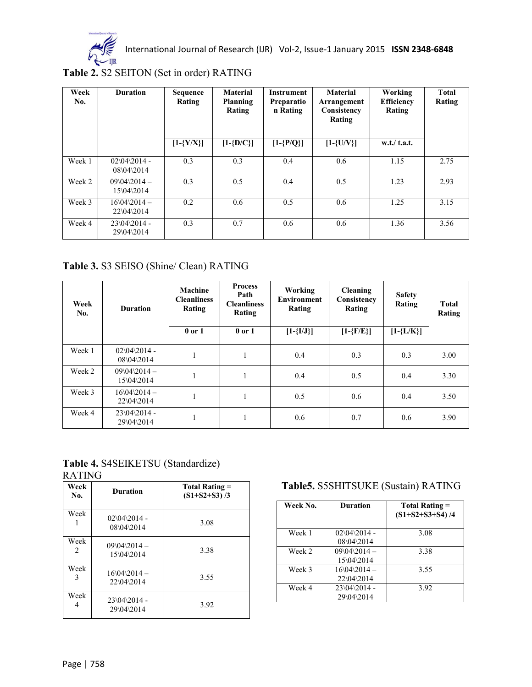

International Journal of Research (IJR) Vol-2, Issue-1 January 2015 **ISSN 2348-6848**

**Table 2.** S2 SEITON (Set in order) RATING

| Week<br>No. | <b>Duration</b>                    | Sequence<br>Rating | <b>Material</b><br>Planning<br>Rating | <b>Instrument</b><br>Preparatio<br>n Rating | <b>Material</b><br>Arrangement<br>Consistency<br>Rating | Working<br><b>Efficiency</b><br>Rating | <b>Total</b><br>Rating |
|-------------|------------------------------------|--------------------|---------------------------------------|---------------------------------------------|---------------------------------------------------------|----------------------------------------|------------------------|
|             |                                    | $[1-\{Y/X\}]$      | $[1-\{D/C\}]$                         | $[1-\{P/Q\}]$                               | $[1-\{U/V\}]$                                           | w.t./ t.a.t.                           |                        |
| Week 1      | $02\,04\,2014$ -<br>$08\,04\,2014$ | 0.3                | 0.3                                   | 0.4                                         | 0.6                                                     | 1.15                                   | 2.75                   |
| Week 2      | $09\04\2014 -$<br>$15\,04\,2014$   | 0.3                | 0.5                                   | 0.4                                         | 0.5                                                     | 1.23                                   | 2.93                   |
| Week 3      | $16\,04\,2014 -$<br>22\04\2014     | 0.2                | 0.6                                   | 0.5                                         | 0.6                                                     | 1.25                                   | 3.15                   |
| Week 4      | $23\,04\,2014$ -<br>29\04\2014     | 0.3                | 0.7                                   | 0.6                                         | 0.6                                                     | 1.36                                   | 3.56                   |

## **Table 3.** S3 SEISO (Shine/ Clean) RATING

| Week<br>No. | <b>Duration</b>                | Machine<br><b>Cleanliness</b><br>Rating<br>$0$ or $1$ | <b>Process</b><br>Path<br><b>Cleanliness</b><br>Rating<br>$0$ or $1$ | Working<br><b>Environment</b><br>Rating<br>$[1-\{I/J\}]$ | <b>Cleaning</b><br>Consistency<br>Rating<br>$[1-\{F/E\}]$ | <b>Safety</b><br>Rating<br>$[1-\{L/K\}]$ | <b>Total</b><br>Rating |
|-------------|--------------------------------|-------------------------------------------------------|----------------------------------------------------------------------|----------------------------------------------------------|-----------------------------------------------------------|------------------------------------------|------------------------|
| Week 1      | $02\,04\,2014$ -<br>08\04\2014 |                                                       |                                                                      | 0.4                                                      | 0.3                                                       | 0.3                                      | 3.00                   |
| Week 2      | $09\04\2014 -$<br>15\04\2014   | 1<br>т.                                               |                                                                      | 0.4                                                      | 0.5                                                       | 0.4                                      | 3.30                   |
| Week 3      | $16\,04\,2014 -$<br>22\04\2014 | 1                                                     |                                                                      | 0.5                                                      | 0.6                                                       | 0.4                                      | 3.50                   |
| Week 4      | $23\04\2014$ -<br>29\04\2014   | 1                                                     |                                                                      | 0.6                                                      | 0.7                                                       | 0.6                                      | 3.90                   |

#### **Table 4.** S4SEIKETSU (Standardize) RATING

| Week<br>No. | <b>Duration</b>                           | Total Rating =<br>$(S1+S2+S3)/3$ |
|-------------|-------------------------------------------|----------------------------------|
| Week        | $02\left\{04\right\}2014$ -<br>08\04\2014 | 3.08                             |
| Week<br>2.  | $09\&04\&2014-$<br>15\04\2014             | 3.38                             |
| Week<br>3   | $16\,04\,2014 -$<br>22\04\2014            | 3.55                             |
| Week<br>4   | $23\04\2014$ -<br>29\04\2014              | 3.92                             |

## **Table5.** S5SHITSUKE (Sustain) RATING

| Week No. | <b>Duration</b>                           | Total Rating =<br>$(S1+S2+S3+S4)/4$ |
|----------|-------------------------------------------|-------------------------------------|
| Week 1   | $02\left\{04\right\}2014$ -<br>08\04\2014 | 3.08                                |
| Week 2   | $09\,04\,2014 -$<br>$15\,04\,2014$        | 3.38                                |
| Week 3   | $16\,04\,2014 -$<br>22\04\2014            | 3.55                                |
| Week 4   | $23\,04\,2014$ -<br>29\04\2014            | 3.92                                |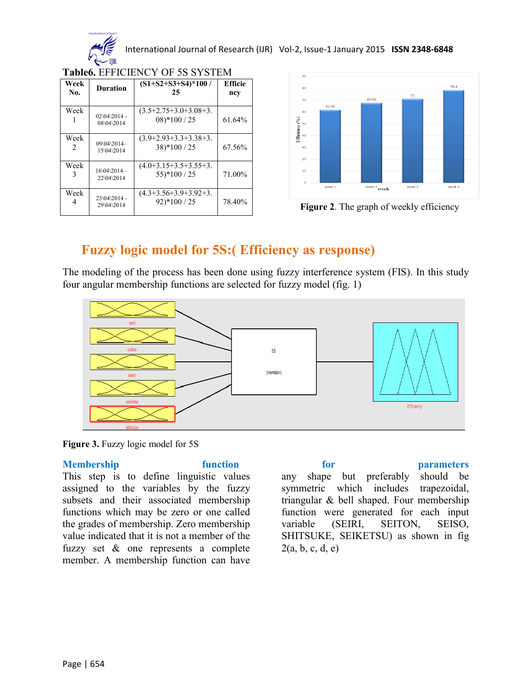

International Journal of Research (IJR) Vol-2, Issue-1 January 2015 **ISSN 2348-6848**

| Week<br>No.           | <b>Duration</b>                          | $(S1+S2+S3+S4)*100/$<br>25                            | <b>Efficie</b><br>ncy |
|-----------------------|------------------------------------------|-------------------------------------------------------|-----------------------|
| Week                  | $02\sqrt{04}\sqrt{2014}$ -<br>08\04\2014 | $(3.5+2.75+3.0+3.08+3.$<br>$08$ <sup>*</sup> $100/25$ | 61.64%                |
| Week<br>$\mathcal{L}$ | 09\04\2014-<br>15\04\2014                | $(3.9+2.93+3.3+3.38+3.$<br>$38$ <sup>*</sup> $100/25$ | 67.56%                |
| Week                  | $16\,04\,2014 -$<br>22\04\2014           | $(4.0+3.15+3.5+3.5+3.$<br>$55$ <sup>*</sup> $100/25$  | 71.00%                |
| Week                  | 23\04\2014 -<br>29\04\2014               | $(4.3+3.56+3.9+3.92+3.$<br>$92)*100 / 25$             | 78.40%                |

**Table6.** EFFICIENCY OF 5S SYSTEM



**Figure 2**. The graph of weekly efficiency

# **Fuzzy logic model for 5S:( Efficiency as response)**

The modeling of the process has been done using fuzzy interference system (FIS). In this study four angular membership functions are selected for fuzzy model (fig. 1)



**Figure 3.** Fuzzy logic model for 5S

This step is to define linguistic values assigned to the variables by the fuzzy subsets and their associated membership functions which may be zero or one called the grades of membership. Zero membership value indicated that it is not a member of the fuzzy set & one represents a complete member. A membership function can have

**Membership function for parameters**  any shape but preferably should be symmetric which includes trapezoidal, triangular & bell shaped. Four membership function were generated for each input variable (SEIRI, SEITON, SEISO, SHITSUKE, SEIKETSU) as shown in fig  $2(a, b, c, d, e)$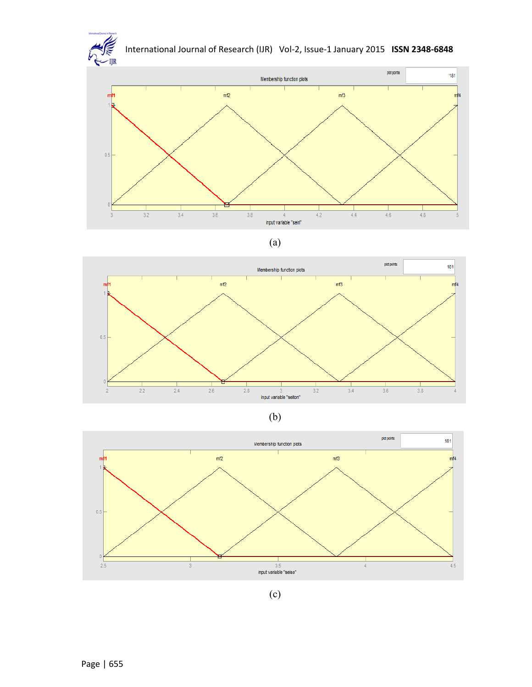











(c)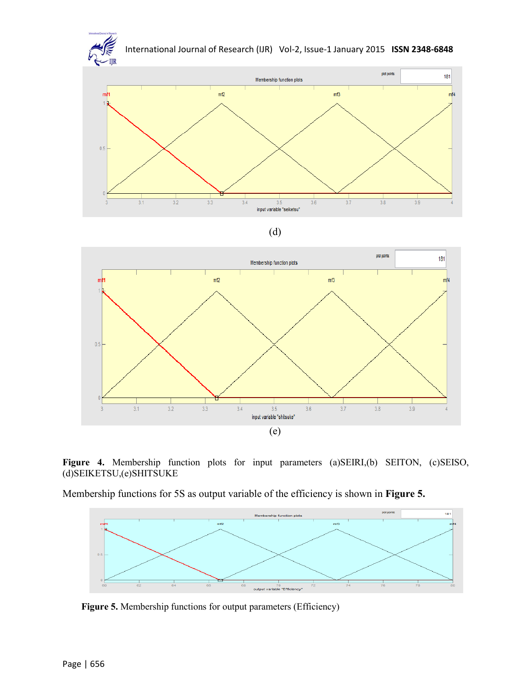



(e)

Membership functions for 5S as output variable of the efficiency is shown in **Figure 5.**



Figure 5. Membership functions for output parameters (Efficiency)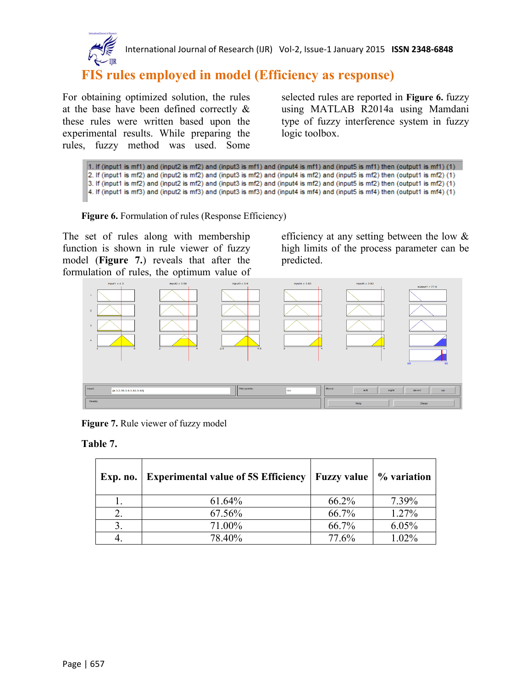

International Journal of Research (IJR) Vol-2, Issue-1 January 2015 **ISSN 2348-6848**

# **FIS rules employed in model (Efficiency as response)**

For obtaining optimized solution, the rules at the base have been defined correctly & these rules were written based upon the experimental results. While preparing the rules, fuzzy method was used. Some

selected rules are reported in **Figure 6.** fuzzy using MATLAB R2014a using Mamdani type of fuzzy interference system in fuzzy logic toolbox.

1. If (input1 is mf1) and (input2 is mf2) and (input3 is mf1) and (input4 is mf1) and (input5 is mf1) then (output1 is mf1) (1) 2. If (input1 is mf2) and (input2 is mf2) and (input3 is mf2) and (input4 is mf2) and (input5 is mf2) then (output1 is mf2) (1) 3. If (input1 is mf2) and (input2 is mf2) and (input3 is mf2) and (input4 is mf2) and (input5 is mf2) then (output1 is mf2) (1) 4. If (input1 is mf3) and (input2 is mf3) and (input3 is mf3) and (input4 is mf4) and (input5 is mf4) then (output1 is mf4) (1)



The set of rules along with membership function is shown in rule viewer of fuzzy model (**Figure 7.**) reveals that after the formulation of rules, the optimum value of

efficiency at any setting between the low & high limits of the process parameter can be predicted.



**Figure 7.** Rule viewer of fuzzy model

**Table 7.** 

|    | Exp. no.   Experimental value of 5S Efficiency | <b>Fuzzy value</b> | % variation |
|----|------------------------------------------------|--------------------|-------------|
|    | 61.64%                                         | 66.2%              | 7.39%       |
| 2. | 67.56%                                         | 66.7%              | 1.27%       |
| 3. | 71.00%                                         | 66.7%              | 6.05%       |
|    | 78.40%                                         | 77.6%              | 1.02%       |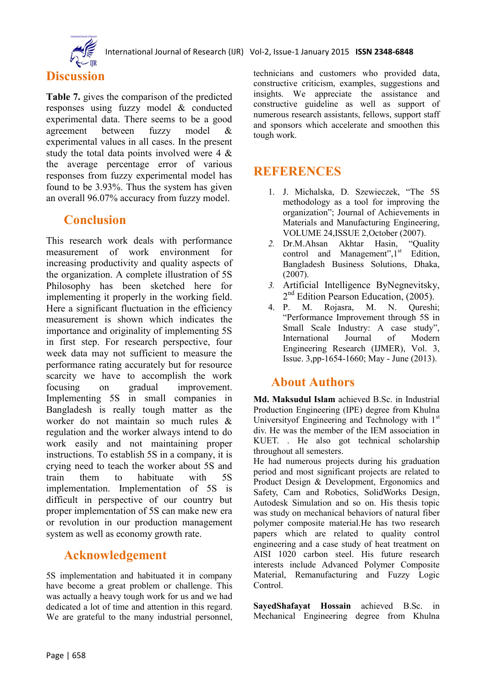

# **Discussion**

**Table 7.** gives the comparison of the predicted responses using fuzzy model & conducted experimental data. There seems to be a good agreement between fuzzy model & experimental values in all cases. In the present study the total data points involved were 4 & the average percentage error of various responses from fuzzy experimental model has found to be 3.93%. Thus the system has given an overall 96.07% accuracy from fuzzy model.

## **Conclusion**

This research work deals with performance measurement of work environment for increasing productivity and quality aspects of the organization. A complete illustration of 5S Philosophy has been sketched here for implementing it properly in the working field. Here a significant fluctuation in the efficiency measurement is shown which indicates the importance and originality of implementing 5S in first step. For research perspective, four week data may not sufficient to measure the performance rating accurately but for resource scarcity we have to accomplish the work focusing on gradual improvement. Implementing 5S in small companies in Bangladesh is really tough matter as the worker do not maintain so much rules & regulation and the worker always intend to do work easily and not maintaining proper instructions. To establish 5S in a company, it is crying need to teach the worker about 5S and train them to habituate with 5S implementation. Implementation of 5S is difficult in perspective of our country but proper implementation of 5S can make new era or revolution in our production management system as well as economy growth rate.

## **Acknowledgement**

5S implementation and habituated it in company have become a great problem or challenge. This was actually a heavy tough work for us and we had dedicated a lot of time and attention in this regard. We are grateful to the many industrial personnel, technicians and customers who provided data, constructive criticism, examples, suggestions and insights. We appreciate the assistance and constructive guideline as well as support of numerous research assistants, fellows, support staff and sponsors which accelerate and smoothen this tough work.

# **REFERENCES**

- 1. J. Michalska, D. Szewieczek, "The 5S methodology as a tool for improving the organization"; Journal of Achievements in Materials and Manufacturing Engineering, VOLUME 24,ISSUE 2,October (2007).
- *2.* Dr.M.Ahsan Akhtar Hasin, "Quality control and Management", 1<sup>st</sup> Edition, Bangladesh Business Solutions, Dhaka, (2007).
- *3.* Artificial Intelligence ByNegnevitsky, 2<sup>nd</sup> Edition Pearson Education, (2005).
- 4. P. M. Rojasra, M. N. Qureshi; "Performance Improvement through 5S in Small Scale Industry: A case study", International Journal of Modern Engineering Research (IJMER), Vol. 3, Issue. 3,pp-1654-1660; May - June (2013).

## **About Authors**

**Md. Maksudul Islam** achieved B.Sc. in Industrial Production Engineering (IPE) degree from Khulna University of Engineering and Technology with 1<sup>st</sup> div. He was the member of the IEM association in KUET. . He also got technical scholarship throughout all semesters.

He had numerous projects during his graduation period and most significant projects are related to Product Design & Development, Ergonomics and Safety, Cam and Robotics, SolidWorks Design, Autodesk Simulation and so on. His thesis topic was study on mechanical behaviors of natural fiber polymer composite material.He has two research papers which are related to quality control engineering and a case study of heat treatment on AISI 1020 carbon steel. His future research interests include Advanced Polymer Composite Material, Remanufacturing and Fuzzy Logic Control.

**SayedShafayat Hossain** achieved B.Sc. in Mechanical Engineering degree from Khulna